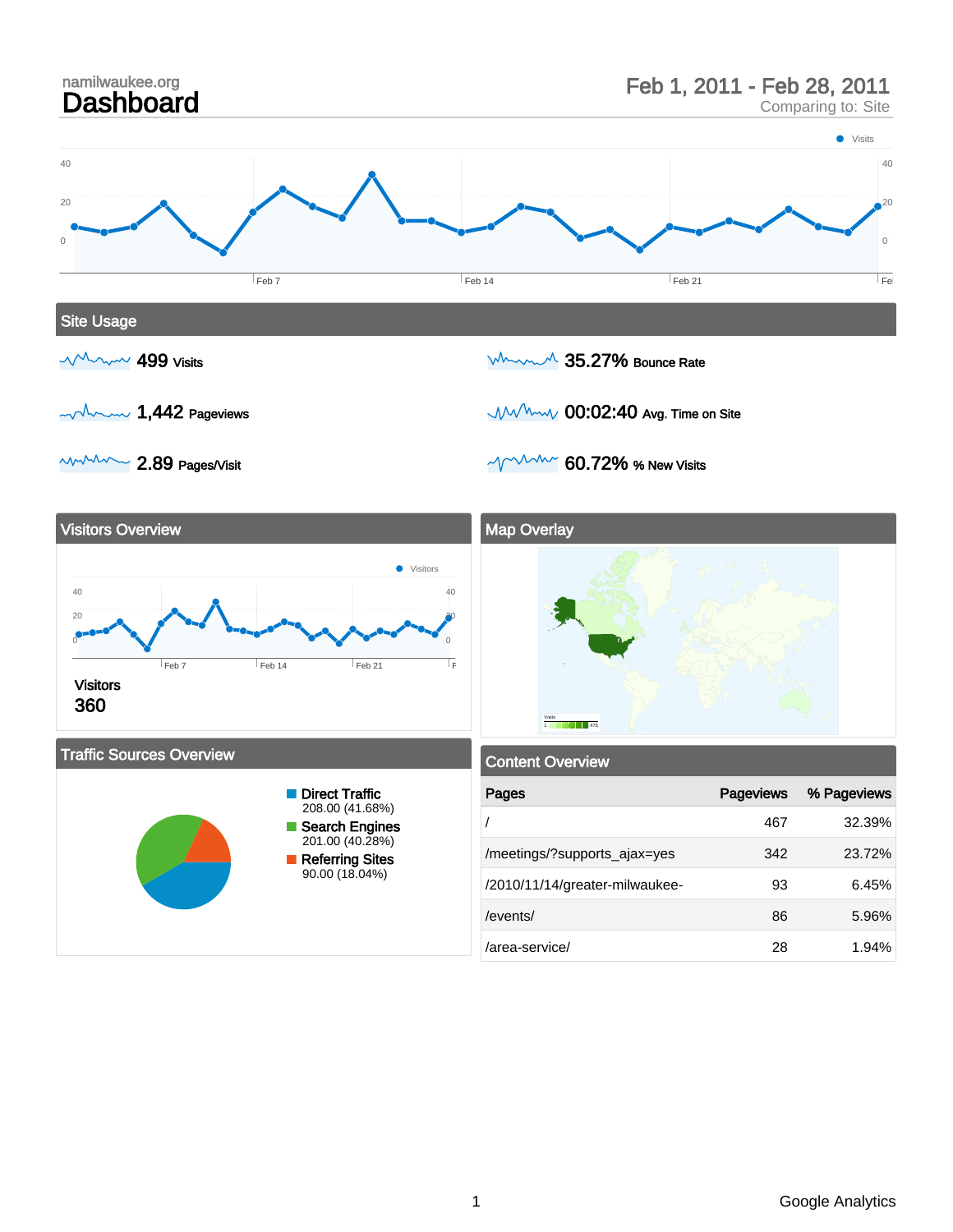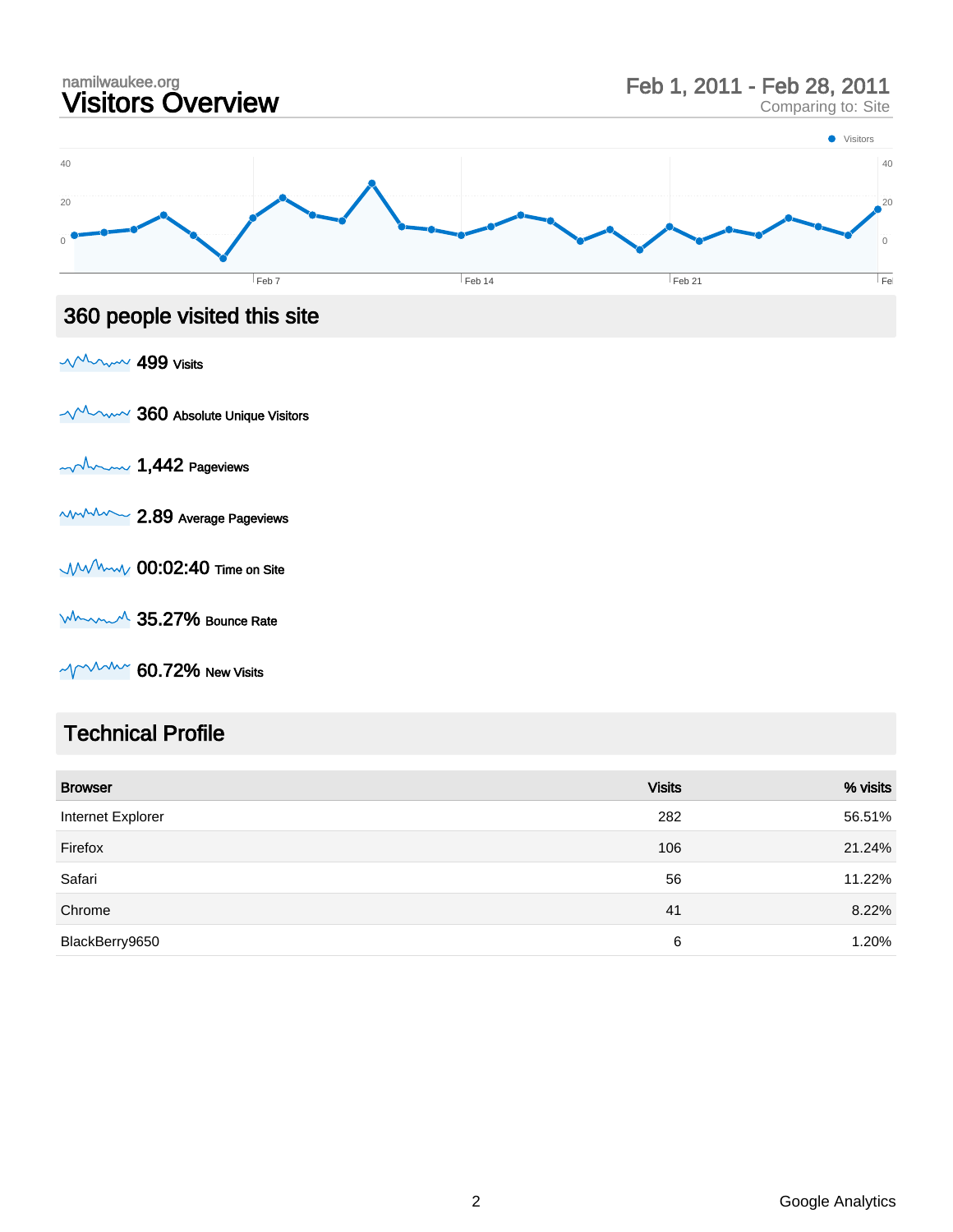

 $\sim$  MMMM 60.72% New Visits

#### Technical Profile

| <b>Browser</b>    | <b>Visits</b> | % visits |
|-------------------|---------------|----------|
| Internet Explorer | 282           | 56.51%   |
| Firefox           | 106           | 21.24%   |
| Safari            | 56            | 11.22%   |
| Chrome            | 41            | 8.22%    |
| BlackBerry9650    | 6             | 1.20%    |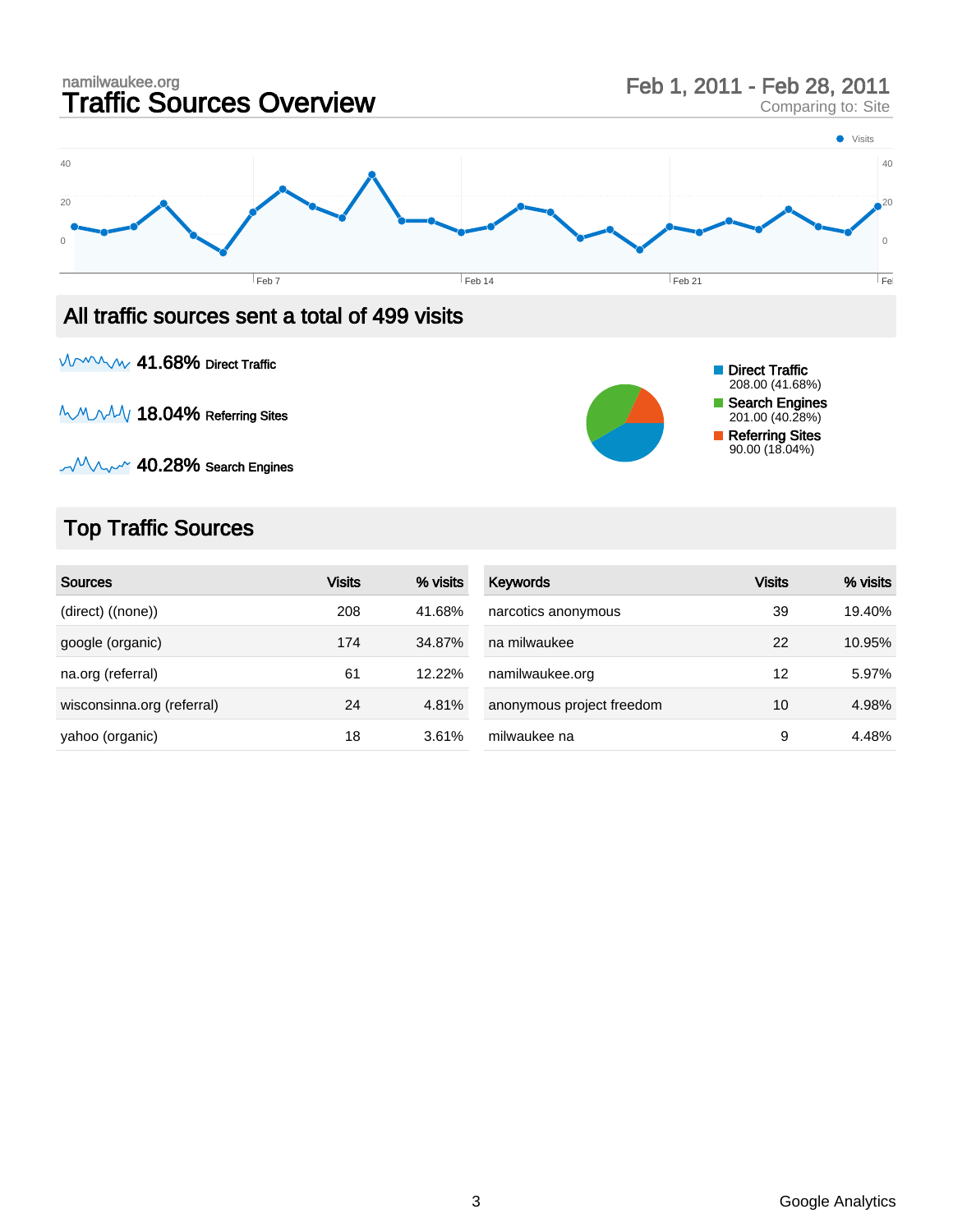

MAMM 41.68% Direct Traffic

**MMMAV 18.04% Referring Sites** 



 $-M$  $\sim$  40.28% Search Engines

### Top Traffic Sources

| <b>Sources</b>             | <b>Visits</b> | % visits | <b>Keywords</b>           | <b>Visits</b> | % visits |
|----------------------------|---------------|----------|---------------------------|---------------|----------|
| (direct) ((none))          | 208           | 41.68%   | narcotics anonymous       | 39            | 19.40%   |
| google (organic)           | 174           | 34.87%   | na milwaukee              | 22            | 10.95%   |
| na.org (referral)          | 61            | 12.22%   | namilwaukee.org           | 12            | 5.97%    |
| wisconsinna.org (referral) | 24            | 4.81%    | anonymous project freedom | 10            | 4.98%    |
| yahoo (organic)            | 18            | 3.61%    | milwaukee na              | 9             | 4.48%    |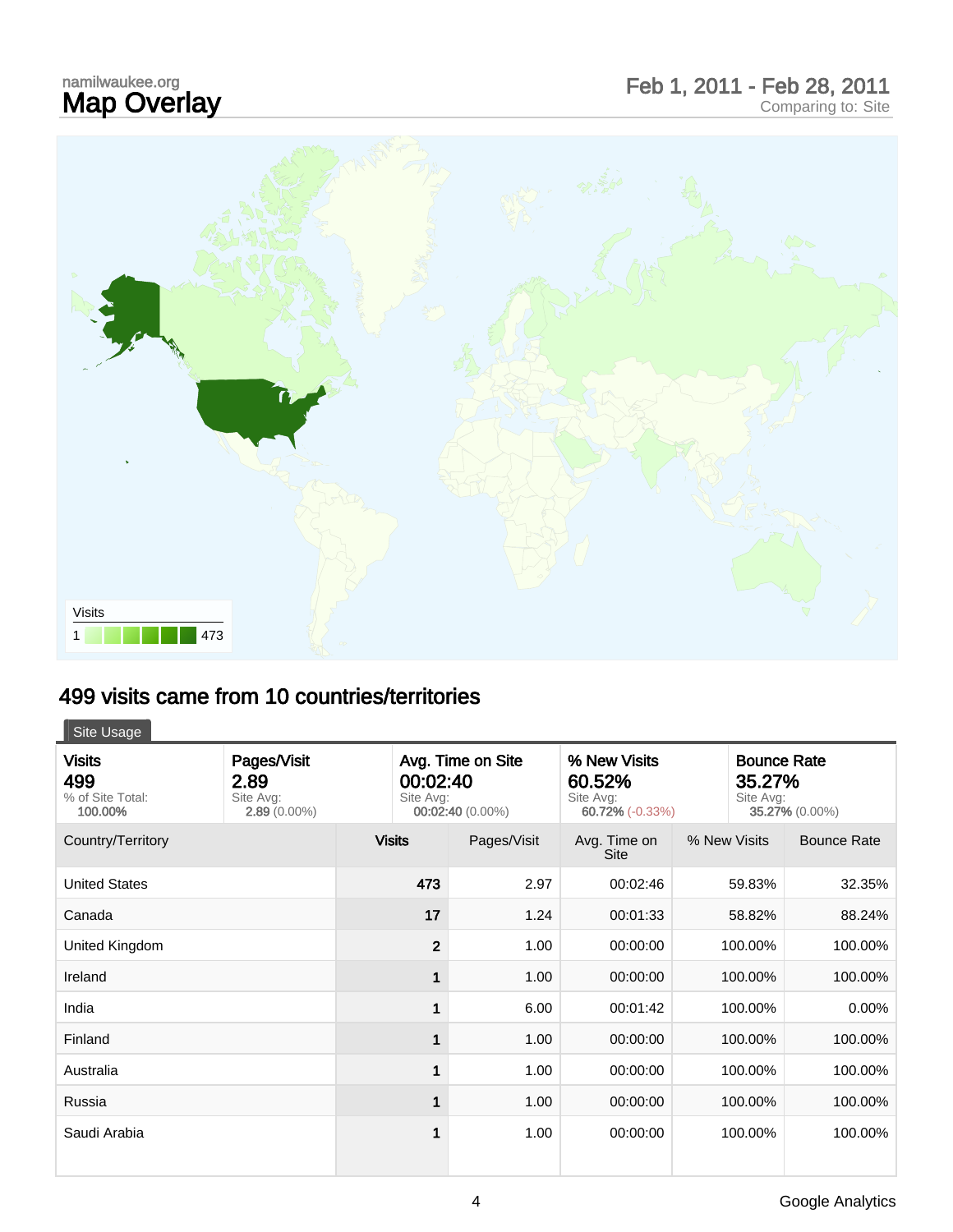# namilwaukee.org<br>**Map Overlay**

## Map Overlay Feb 1, 2011 - Feb 28, 2011 Comparing to: Site



#### 499 visits came from 10 countries/territories

#### Site Usage

| <b>Visits</b><br>499<br>% of Site Total:<br>100.00% | Pages/Visit<br>2.89<br>Site Avg:<br>$2.89(0.00\%)$ | Avg. Time on Site<br>00:02:40<br>Site Avg:<br>00:02:40 (0.00%) |             | % New Visits<br>60.52%<br>Site Avg:<br>60.72% (-0.33%) |              | <b>Bounce Rate</b><br>35.27%<br>Site Avg:<br>35.27% (0.00%) |  |
|-----------------------------------------------------|----------------------------------------------------|----------------------------------------------------------------|-------------|--------------------------------------------------------|--------------|-------------------------------------------------------------|--|
| Country/Territory                                   |                                                    | <b>Visits</b>                                                  | Pages/Visit | Avg. Time on<br><b>Site</b>                            | % New Visits | <b>Bounce Rate</b>                                          |  |
| <b>United States</b>                                |                                                    | 473                                                            | 2.97        | 00:02:46                                               | 59.83%       | 32.35%                                                      |  |
| Canada                                              |                                                    | 17                                                             | 1.24        | 00:01:33                                               | 58.82%       | 88.24%                                                      |  |
| United Kingdom                                      |                                                    | $\overline{2}$                                                 | 1.00        | 00:00:00                                               | 100.00%      | 100.00%                                                     |  |
| Ireland                                             |                                                    |                                                                | 1.00        | 00:00:00                                               | 100.00%      | 100.00%                                                     |  |
| India                                               |                                                    | 1                                                              | 6.00        | 00:01:42                                               | 100.00%      | 0.00%                                                       |  |
| Finland                                             |                                                    |                                                                | 1.00        | 00:00:00                                               | 100.00%      | 100.00%                                                     |  |
| Australia                                           |                                                    | 1                                                              | 1.00        | 00:00:00                                               | 100.00%      | 100.00%                                                     |  |
| Russia                                              |                                                    | 1                                                              | 1.00        | 00:00:00                                               | 100.00%      | 100.00%                                                     |  |
| Saudi Arabia                                        |                                                    | 1                                                              | 1.00        | 00:00:00                                               | 100.00%      | 100.00%                                                     |  |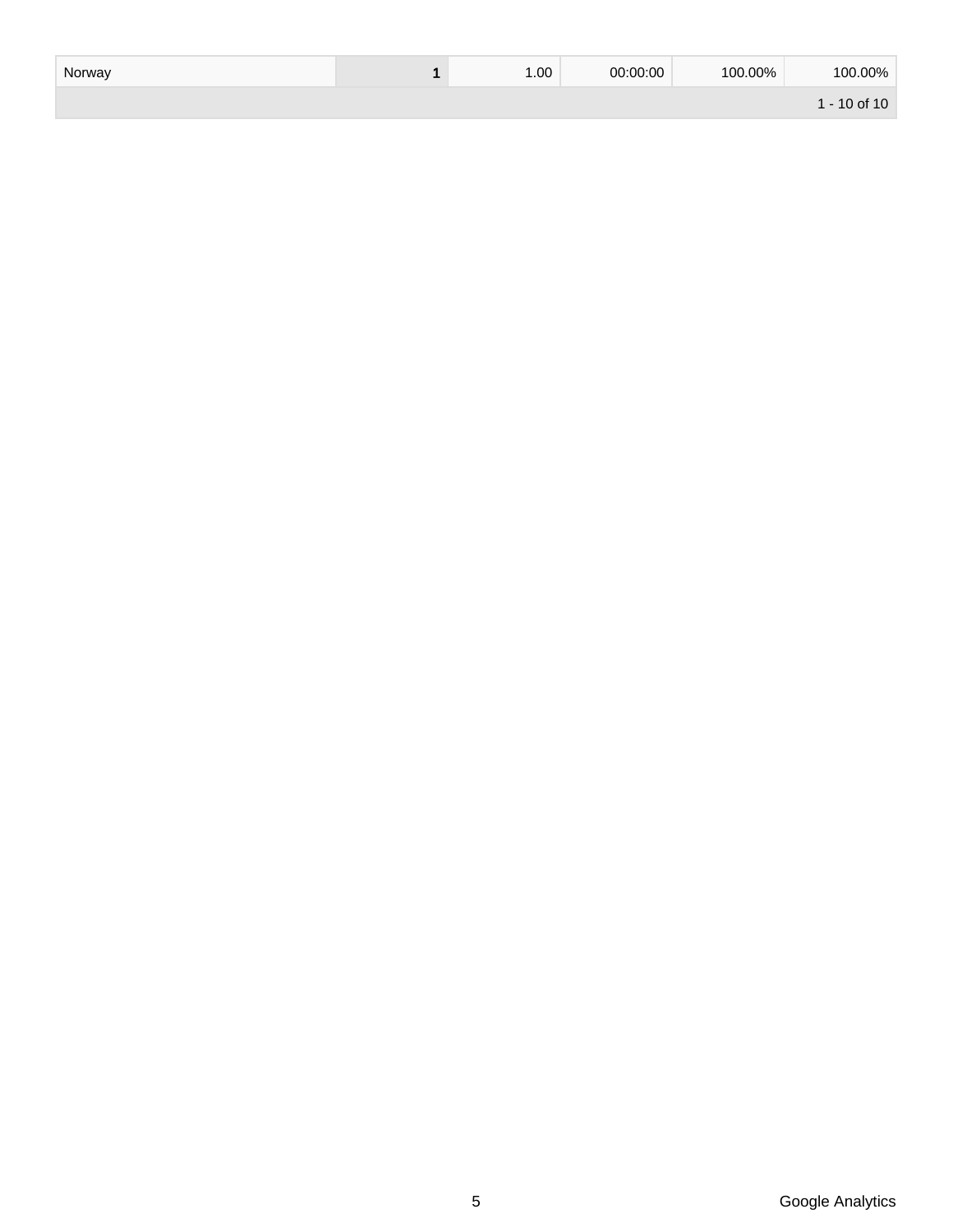| Norway | .00. | 00:00:00 | 100.00% | 100.00%          |
|--------|------|----------|---------|------------------|
|        |      |          |         | $1 - 10$ of $10$ |